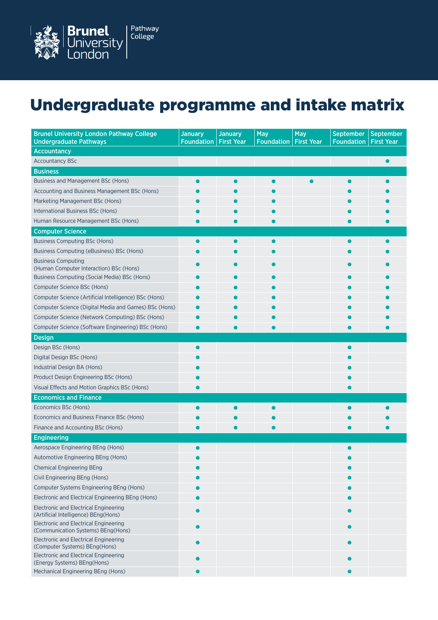

## Undergraduate programme and intake matrix

| <b>Brunel University London Pathway College</b>                                    | <b>January</b>    | <b>January</b>    | May               | May               | <b>September</b>  | <b>September</b>  |
|------------------------------------------------------------------------------------|-------------------|-------------------|-------------------|-------------------|-------------------|-------------------|
| <b>Undergraduate Pathways</b>                                                      | <b>Foundation</b> | <b>First Year</b> | <b>Foundation</b> | <b>First Year</b> | <b>Foundation</b> | <b>First Year</b> |
| <b>Accountancy</b>                                                                 |                   |                   |                   |                   |                   |                   |
| <b>Accountancy BSc</b>                                                             |                   |                   |                   |                   |                   | ●                 |
| <b>Business</b>                                                                    |                   |                   |                   |                   |                   |                   |
| <b>Business and Management BSc (Hons)</b>                                          |                   |                   |                   |                   |                   |                   |
| Accounting and Business Management BSc (Hons)                                      |                   |                   |                   |                   |                   |                   |
| Marketing Management BSc (Hons)                                                    |                   |                   |                   |                   |                   |                   |
| International Business BSc (Hons)                                                  |                   |                   |                   |                   |                   |                   |
| Human Resource Management BSc (Hons)                                               |                   |                   |                   |                   |                   |                   |
| <b>Computer Science</b>                                                            |                   |                   |                   |                   |                   |                   |
| <b>Business Computing BSc (Hons)</b>                                               |                   |                   |                   |                   |                   |                   |
| Business Computing (eBusiness) BSc (Hons)                                          |                   |                   |                   |                   |                   |                   |
| <b>Business Computing</b><br>(Human Computer Interaction) BSc (Hons)               |                   |                   |                   |                   |                   |                   |
| Business Computing (Social Media) BSc (Hons)                                       |                   |                   |                   |                   |                   |                   |
| Computer Science BSc (Hons)                                                        |                   |                   |                   |                   |                   |                   |
| Computer Science (Artificial Intelligence) BSc (Hons)                              |                   |                   |                   |                   |                   |                   |
| Computer Science (Digital Media and Games) BSc (Hons)                              |                   |                   |                   |                   |                   |                   |
| Computer Science (Network Computing) BSc (Hons)                                    |                   |                   |                   |                   |                   |                   |
| Computer Science (Software Engineering) BSc (Hons)                                 |                   |                   |                   |                   |                   |                   |
| <b>Design</b>                                                                      |                   |                   |                   |                   |                   |                   |
| Design BSc (Hons)                                                                  |                   |                   |                   |                   |                   |                   |
| Digital Design BSc (Hons)                                                          |                   |                   |                   |                   |                   |                   |
| Industrial Design BA (Hons)                                                        |                   |                   |                   |                   |                   |                   |
| Product Design Engineering BSc (Hons)                                              |                   |                   |                   |                   |                   |                   |
| Visual Effects and Motion Graphics BSc (Hons)                                      |                   |                   |                   |                   |                   |                   |
| <b>Economics and Finance</b>                                                       |                   |                   |                   |                   |                   |                   |
| Economics BSc (Hons)                                                               |                   |                   |                   |                   |                   |                   |
| Economics and Business Finance BSc (Hons)                                          |                   |                   |                   |                   |                   |                   |
| Finance and Accounting BSc (Hons)                                                  |                   |                   |                   |                   |                   |                   |
| <b>Engineering</b>                                                                 |                   |                   |                   |                   |                   |                   |
| Aerospace Engineering BEng (Hons)                                                  |                   |                   |                   |                   |                   |                   |
| Automotive Engineering BEng (Hons)                                                 |                   |                   |                   |                   |                   |                   |
| <b>Chemical Engineering BEng</b>                                                   |                   |                   |                   |                   |                   |                   |
| Civil Engineering BEng (Hons)                                                      |                   |                   |                   |                   |                   |                   |
| Computer Systems Engineering BEng (Hons)                                           |                   |                   |                   |                   |                   |                   |
| Electronic and Electrical Engineering BEng (Hons)                                  |                   |                   |                   |                   |                   |                   |
| Electronic and Electrical Engineering<br>(Artificial Intelligence) BEng(Hons)      |                   |                   |                   |                   |                   |                   |
| <b>Electronic and Electrical Engineering</b><br>(Communication Systems) BEng(Hons) |                   |                   |                   |                   |                   |                   |
| <b>Electronic and Electrical Engineering</b><br>(Computer Systems) BEng(Hons)      |                   |                   |                   |                   |                   |                   |
| <b>Electronic and Electrical Engineering</b><br>(Energy Systems) BEng(Hons)        |                   |                   |                   |                   |                   |                   |
| Mechanical Engineering BEng (Hons)                                                 |                   |                   |                   |                   |                   |                   |